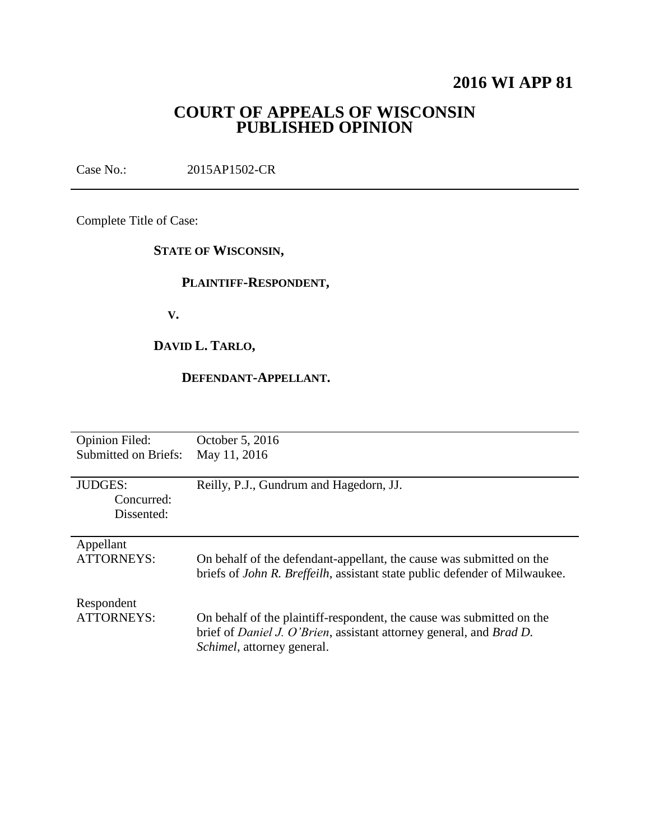# **2016 WI APP 81**

# **COURT OF APPEALS OF WISCONSIN PUBLISHED OPINION**

Case No.: 2015AP1502-CR

Complete Title of Case:

## **STATE OF WISCONSIN,**

## **PLAINTIFF-RESPONDENT,**

 **V.**

# **DAVID L. TARLO,**

## **DEFENDANT-APPELLANT.**

| <b>Opinion Filed:</b>                      | October 5, 2016                                                                                                                                                                                   |
|--------------------------------------------|---------------------------------------------------------------------------------------------------------------------------------------------------------------------------------------------------|
| <b>Submitted on Briefs:</b>                | May 11, 2016                                                                                                                                                                                      |
| <b>JUDGES:</b><br>Concurred:<br>Dissented: | Reilly, P.J., Gundrum and Hagedorn, JJ.                                                                                                                                                           |
| Appellant<br><b>ATTORNEYS:</b>             | On behalf of the defendant-appellant, the cause was submitted on the<br>briefs of <i>John R. Breffeilh</i> , assistant state public defender of Milwaukee.                                        |
| Respondent<br>ATTORNEYS:                   | On behalf of the plaintiff-respondent, the cause was submitted on the<br>brief of <i>Daniel J. O'Brien</i> , assistant attorney general, and <i>Brad D.</i><br><i>Schimel</i> , attorney general. |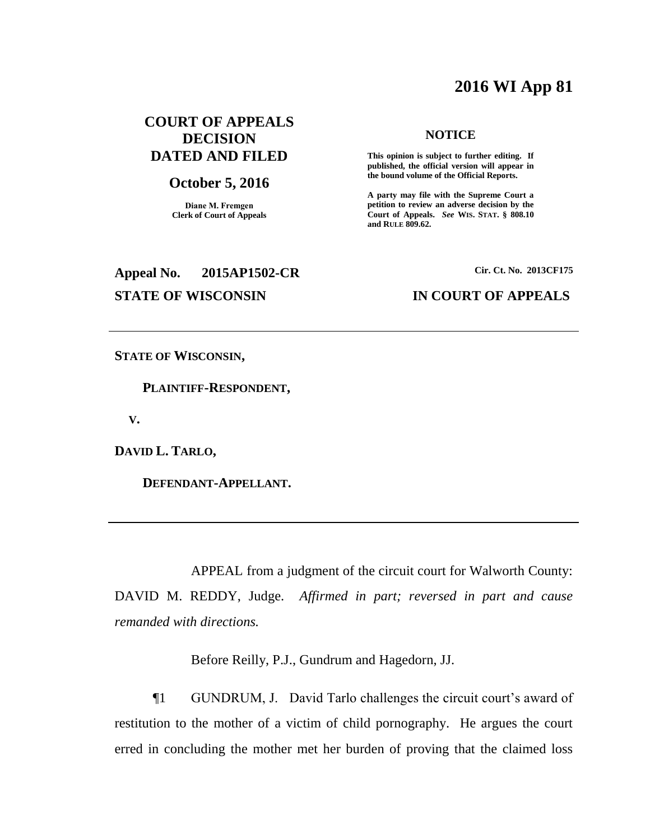# **2016 WI App 81**

## **COURT OF APPEALS DECISION DATED AND FILED**

#### **October 5, 2016**

**Diane M. Fremgen Clerk of Court of Appeals**

# **Appeal No. 2015AP1502-CR Cir. Ct. No. 2013CF175**

#### **NOTICE**

**This opinion is subject to further editing. If published, the official version will appear in the bound volume of the Official Reports.** 

**A party may file with the Supreme Court a petition to review an adverse decision by the Court of Appeals.** *See* **WIS. STAT. § 808.10 and RULE 809.62.** 

#### **STATE OF WISCONSIN IN COURT OF APPEALS**

**STATE OF WISCONSIN,**

 **PLAINTIFF-RESPONDENT,**

 **V.**

**DAVID L. TARLO,**

 **DEFENDANT-APPELLANT.**

APPEAL from a judgment of the circuit court for Walworth County: DAVID M. REDDY, Judge. *Affirmed in part; reversed in part and cause* 

*remanded with directions.*

Before Reilly, P.J., Gundrum and Hagedorn, JJ.

¶1 GUNDRUM, J. David Tarlo challenges the circuit court's award of restitution to the mother of a victim of child pornography. He argues the court erred in concluding the mother met her burden of proving that the claimed loss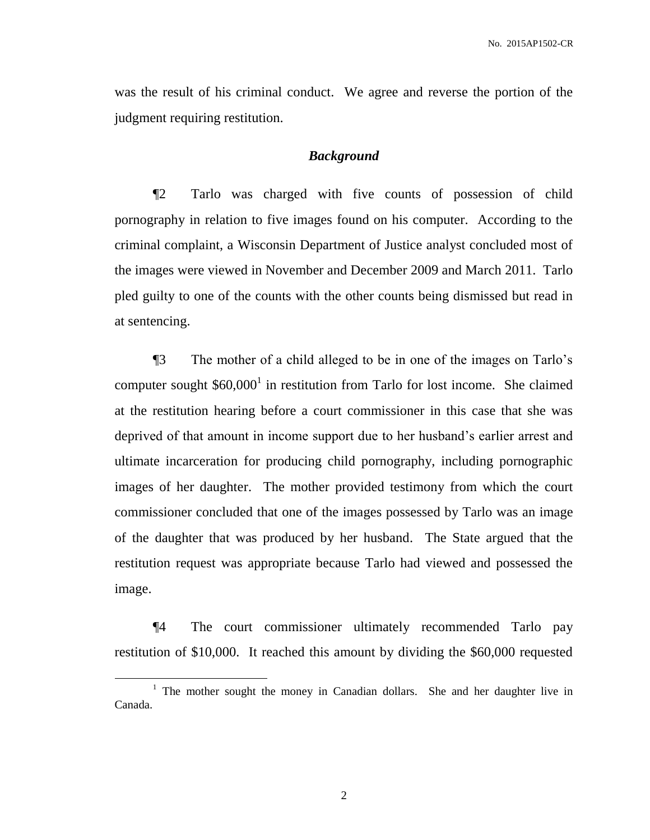was the result of his criminal conduct. We agree and reverse the portion of the judgment requiring restitution.

#### *Background*

¶2 Tarlo was charged with five counts of possession of child pornography in relation to five images found on his computer. According to the criminal complaint, a Wisconsin Department of Justice analyst concluded most of the images were viewed in November and December 2009 and March 2011. Tarlo pled guilty to one of the counts with the other counts being dismissed but read in at sentencing.

¶3 The mother of a child alleged to be in one of the images on Tarlo's computer sought  $$60,000$ <sup>1</sup> in restitution from Tarlo for lost income. She claimed at the restitution hearing before a court commissioner in this case that she was deprived of that amount in income support due to her husband's earlier arrest and ultimate incarceration for producing child pornography, including pornographic images of her daughter. The mother provided testimony from which the court commissioner concluded that one of the images possessed by Tarlo was an image of the daughter that was produced by her husband. The State argued that the restitution request was appropriate because Tarlo had viewed and possessed the image.

¶4 The court commissioner ultimately recommended Tarlo pay restitution of \$10,000. It reached this amount by dividing the \$60,000 requested

 $\overline{a}$ 

<sup>&</sup>lt;sup>1</sup> The mother sought the money in Canadian dollars. She and her daughter live in Canada.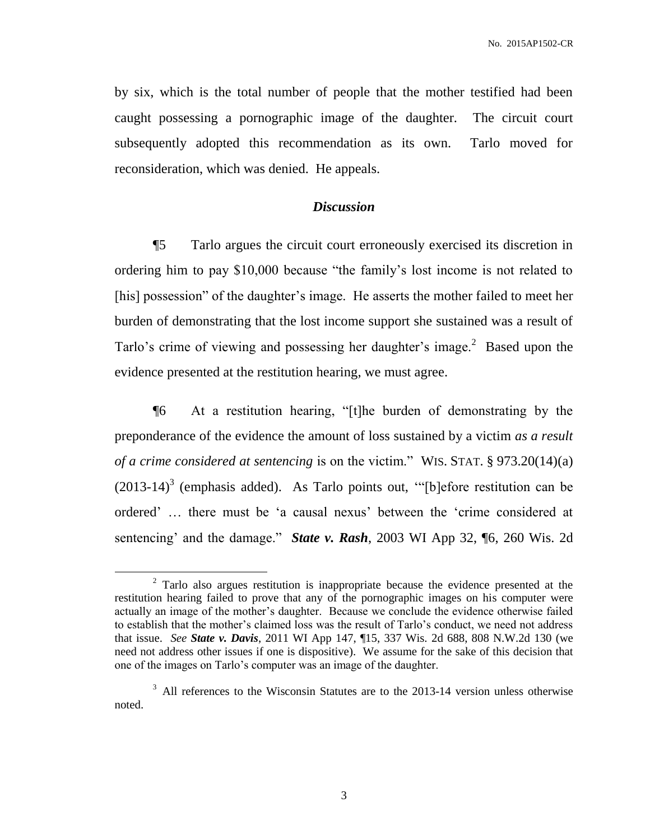by six, which is the total number of people that the mother testified had been caught possessing a pornographic image of the daughter. The circuit court subsequently adopted this recommendation as its own. Tarlo moved for reconsideration, which was denied. He appeals.

### *Discussion*

¶5 Tarlo argues the circuit court erroneously exercised its discretion in ordering him to pay \$10,000 because "the family's lost income is not related to [his] possession" of the daughter's image. He asserts the mother failed to meet her burden of demonstrating that the lost income support she sustained was a result of Tarlo's crime of viewing and possessing her daughter's image.<sup>2</sup> Based upon the evidence presented at the restitution hearing, we must agree.

¶6 At a restitution hearing, "[t]he burden of demonstrating by the preponderance of the evidence the amount of loss sustained by a victim *as a result of a crime considered at sentencing* is on the victim." WIS. STAT. § 973.20(14)(a)  $(2013-14)^3$  (emphasis added). As Tarlo points out, "[b]efore restitution can be ordered' … there must be 'a causal nexus' between the 'crime considered at sentencing' and the damage." *State v. Rash*, 2003 WI App 32, ¶6, 260 Wis. 2d

 $\overline{a}$ 

 $2^2$  Tarlo also argues restitution is inappropriate because the evidence presented at the restitution hearing failed to prove that any of the pornographic images on his computer were actually an image of the mother's daughter. Because we conclude the evidence otherwise failed to establish that the mother's claimed loss was the result of Tarlo's conduct, we need not address that issue. *See State v. Davis*, 2011 WI App 147, ¶15, 337 Wis. 2d 688, 808 N.W.2d 130 (we need not address other issues if one is dispositive). We assume for the sake of this decision that one of the images on Tarlo's computer was an image of the daughter.

<sup>&</sup>lt;sup>3</sup> All references to the Wisconsin Statutes are to the 2013-14 version unless otherwise noted.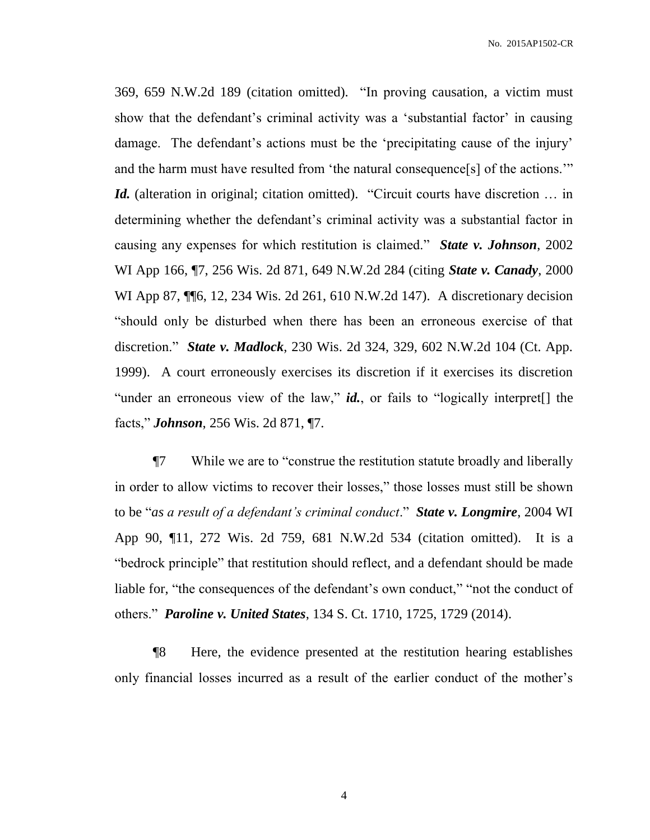369, 659 N.W.2d 189 (citation omitted). "In proving causation, a victim must show that the defendant's criminal activity was a 'substantial factor' in causing damage. The defendant's actions must be the 'precipitating cause of the injury' and the harm must have resulted from 'the natural consequence[s] of the actions.'" *Id.* (alteration in original; citation omitted). "Circuit courts have discretion ... in determining whether the defendant's criminal activity was a substantial factor in causing any expenses for which restitution is claimed." *State v. Johnson*, 2002 WI App 166, ¶7, 256 Wis. 2d 871, 649 N.W.2d 284 (citing *State v. Canady*, 2000 WI App 87,  $\P$ [6, 12, 234 Wis. 2d 261, 610 N.W.2d 147). A discretionary decision "should only be disturbed when there has been an erroneous exercise of that discretion." *State v. Madlock*, 230 Wis. 2d 324, 329, 602 N.W.2d 104 (Ct. App. 1999). A court erroneously exercises its discretion if it exercises its discretion "under an erroneous view of the law," *id.*, or fails to "logically interpret<sup>[]</sup> the facts," *Johnson*, 256 Wis. 2d 871, ¶7.

¶7 While we are to "construe the restitution statute broadly and liberally in order to allow victims to recover their losses," those losses must still be shown to be "*as a result of a defendant's criminal conduct*." *State v. Longmire*, 2004 WI App 90, ¶11, 272 Wis. 2d 759, 681 N.W.2d 534 (citation omitted). It is a "bedrock principle" that restitution should reflect, and a defendant should be made liable for, "the consequences of the defendant's own conduct," "not the conduct of others." *Paroline v. United States*, 134 S. Ct. 1710, 1725, 1729 (2014).

¶8 Here, the evidence presented at the restitution hearing establishes only financial losses incurred as a result of the earlier conduct of the mother's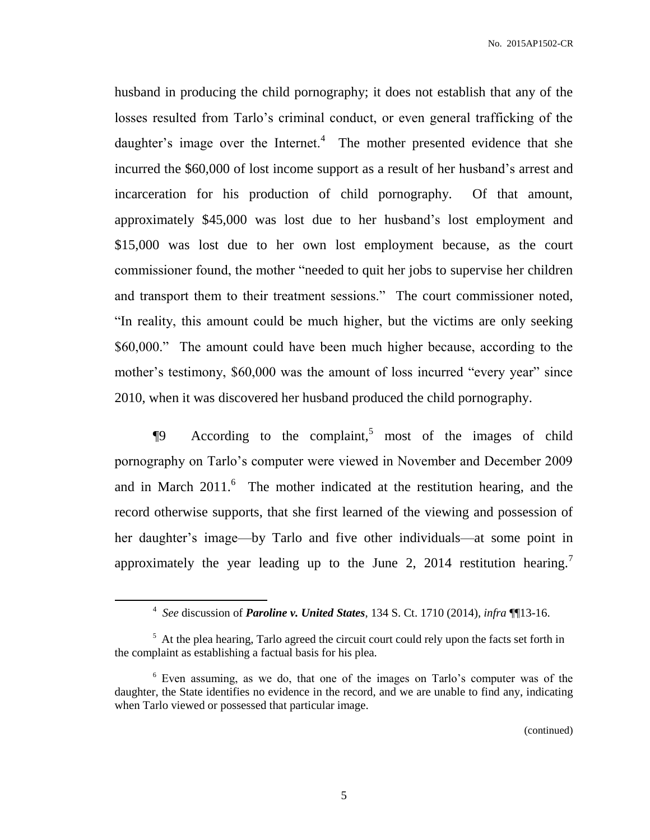husband in producing the child pornography; it does not establish that any of the losses resulted from Tarlo's criminal conduct, or even general trafficking of the daughter's image over the Internet. $4$  The mother presented evidence that she incurred the \$60,000 of lost income support as a result of her husband's arrest and incarceration for his production of child pornography. Of that amount, approximately \$45,000 was lost due to her husband's lost employment and \$15,000 was lost due to her own lost employment because, as the court commissioner found, the mother "needed to quit her jobs to supervise her children and transport them to their treatment sessions." The court commissioner noted, "In reality, this amount could be much higher, but the victims are only seeking \$60,000." The amount could have been much higher because, according to the mother's testimony, \$60,000 was the amount of loss incurred "every year" since 2010, when it was discovered her husband produced the child pornography.

 $\P9$  According to the complaint,<sup>5</sup> most of the images of child pornography on Tarlo's computer were viewed in November and December 2009 and in March  $2011$ .<sup>6</sup> The mother indicated at the restitution hearing, and the record otherwise supports, that she first learned of the viewing and possession of her daughter's image—by Tarlo and five other individuals—at some point in approximately the year leading up to the June 2, 2014 restitution hearing.<sup>7</sup>

 $\overline{a}$ 

(continued)

<sup>4</sup> *See* discussion of *Paroline v. United States*, 134 S. Ct. 1710 (2014), *infra* ¶¶13-16.

<sup>&</sup>lt;sup>5</sup> At the plea hearing, Tarlo agreed the circuit court could rely upon the facts set forth in the complaint as establishing a factual basis for his plea.

<sup>6</sup> Even assuming, as we do, that one of the images on Tarlo's computer was of the daughter, the State identifies no evidence in the record, and we are unable to find any, indicating when Tarlo viewed or possessed that particular image.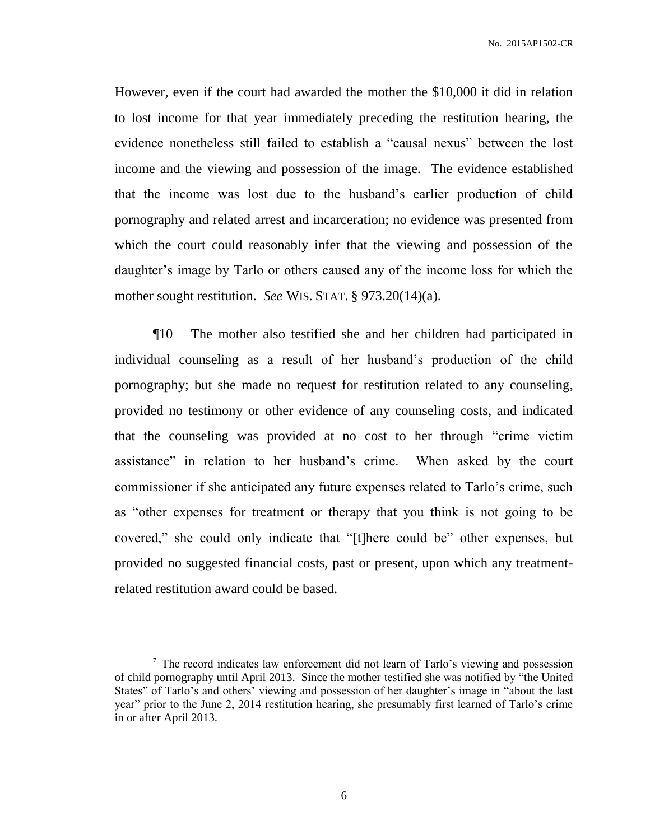However, even if the court had awarded the mother the \$10,000 it did in relation to lost income for that year immediately preceding the restitution hearing, the evidence nonetheless still failed to establish a "causal nexus" between the lost income and the viewing and possession of the image. The evidence established that the income was lost due to the husband's earlier production of child pornography and related arrest and incarceration; no evidence was presented from which the court could reasonably infer that the viewing and possession of the daughter's image by Tarlo or others caused any of the income loss for which the mother sought restitution. *See* WIS. STAT. § 973.20(14)(a).

¶10 The mother also testified she and her children had participated in individual counseling as a result of her husband's production of the child pornography; but she made no request for restitution related to any counseling, provided no testimony or other evidence of any counseling costs, and indicated that the counseling was provided at no cost to her through "crime victim assistance" in relation to her husband's crime. When asked by the court commissioner if she anticipated any future expenses related to Tarlo's crime, such as "other expenses for treatment or therapy that you think is not going to be covered," she could only indicate that "[t]here could be" other expenses, but provided no suggested financial costs, past or present, upon which any treatmentrelated restitution award could be based.

 $\overline{a}$ 

<sup>&</sup>lt;sup>7</sup> The record indicates law enforcement did not learn of Tarlo's viewing and possession of child pornography until April 2013. Since the mother testified she was notified by "the United States" of Tarlo's and others' viewing and possession of her daughter's image in "about the last year" prior to the June 2, 2014 restitution hearing, she presumably first learned of Tarlo's crime in or after April 2013.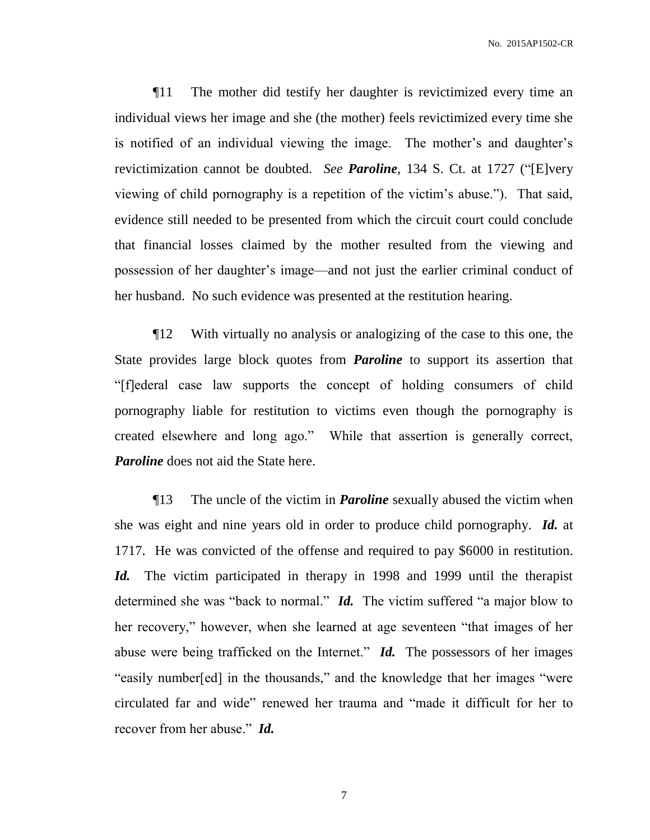¶11 The mother did testify her daughter is revictimized every time an individual views her image and she (the mother) feels revictimized every time she is notified of an individual viewing the image. The mother's and daughter's revictimization cannot be doubted. *See Paroline*, 134 S. Ct. at 1727 ("[E]very viewing of child pornography is a repetition of the victim's abuse."). That said, evidence still needed to be presented from which the circuit court could conclude that financial losses claimed by the mother resulted from the viewing and possession of her daughter's image—and not just the earlier criminal conduct of her husband. No such evidence was presented at the restitution hearing.

¶12 With virtually no analysis or analogizing of the case to this one, the State provides large block quotes from *Paroline* to support its assertion that "[f]ederal case law supports the concept of holding consumers of child pornography liable for restitution to victims even though the pornography is created elsewhere and long ago." While that assertion is generally correct, *Paroline* does not aid the State here.

¶13 The uncle of the victim in *Paroline* sexually abused the victim when she was eight and nine years old in order to produce child pornography. *Id.* at 1717. He was convicted of the offense and required to pay \$6000 in restitution. *Id.* The victim participated in therapy in 1998 and 1999 until the therapist determined she was "back to normal." *Id.* The victim suffered "a major blow to her recovery," however, when she learned at age seventeen "that images of her abuse were being trafficked on the Internet." *Id.* The possessors of her images "easily number[ed] in the thousands," and the knowledge that her images "were circulated far and wide" renewed her trauma and "made it difficult for her to recover from her abuse." *Id.*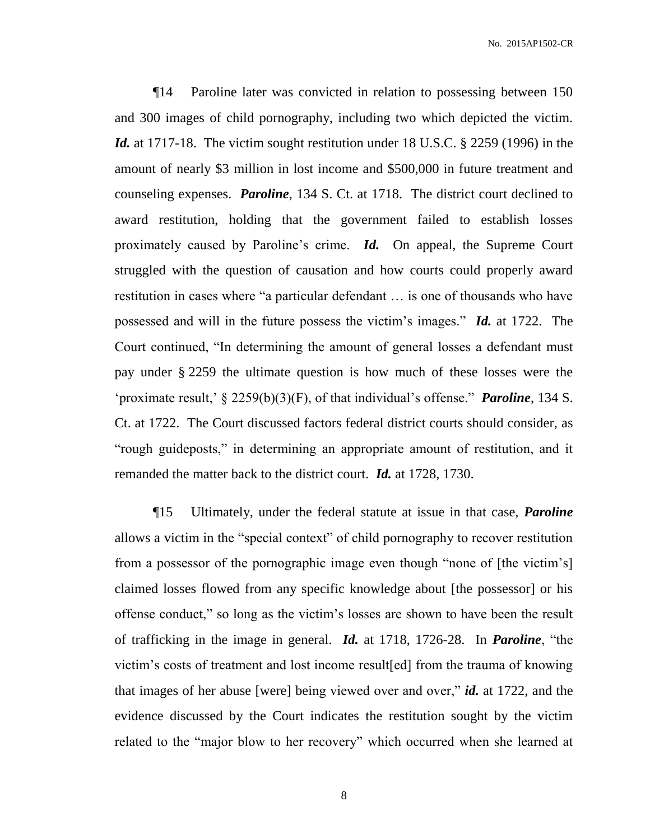¶14 Paroline later was convicted in relation to possessing between 150 and 300 images of child pornography, including two which depicted the victim. *Id.* at 1717-18. The victim sought restitution under 18 U.S.C. § 2259 (1996) in the amount of nearly \$3 million in lost income and \$500,000 in future treatment and counseling expenses. *Paroline*, 134 S. Ct. at 1718. The district court declined to award restitution, holding that the government failed to establish losses proximately caused by Paroline's crime. *Id.* On appeal, the Supreme Court struggled with the question of causation and how courts could properly award restitution in cases where "a particular defendant … is one of thousands who have possessed and will in the future possess the victim's images." *Id.* at 1722. The Court continued, "In determining the amount of general losses a defendant must pay under § 2259 the ultimate question is how much of these losses were the 'proximate result,' § 2259(b)(3)(F), of that individual's offense." *Paroline*, 134 S. Ct. at 1722. The Court discussed factors federal district courts should consider, as "rough guideposts," in determining an appropriate amount of restitution, and it remanded the matter back to the district court. *Id.* at 1728, 1730.

¶15 Ultimately, under the federal statute at issue in that case, *Paroline* allows a victim in the "special context" of child pornography to recover restitution from a possessor of the pornographic image even though "none of [the victim's] claimed losses flowed from any specific knowledge about [the possessor] or his offense conduct," so long as the victim's losses are shown to have been the result of trafficking in the image in general. *Id.* at 1718, 1726-28. In *Paroline*, "the victim's costs of treatment and lost income result[ed] from the trauma of knowing that images of her abuse [were] being viewed over and over," *id.* at 1722, and the evidence discussed by the Court indicates the restitution sought by the victim related to the "major blow to her recovery" which occurred when she learned at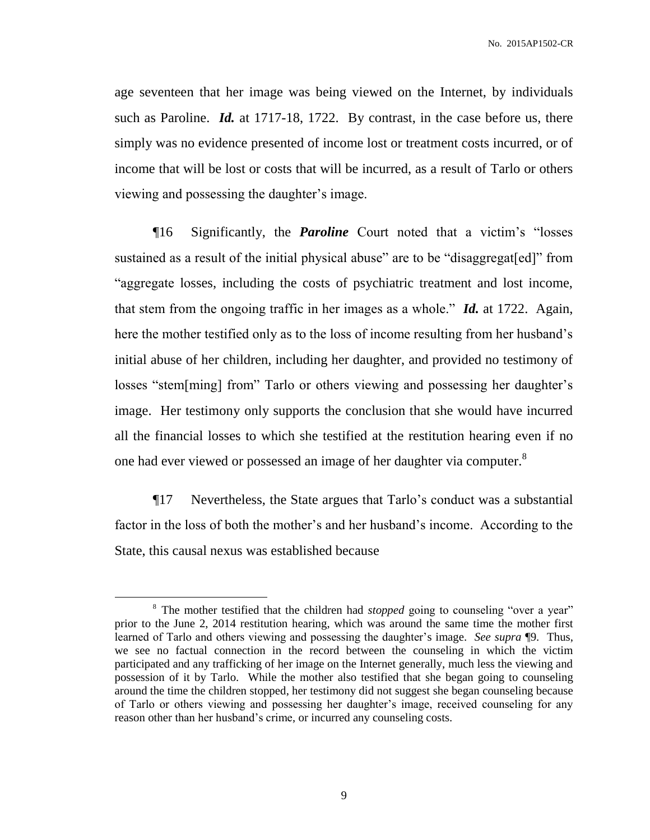age seventeen that her image was being viewed on the Internet, by individuals such as Paroline. *Id.* at 1717-18, 1722. By contrast, in the case before us, there simply was no evidence presented of income lost or treatment costs incurred, or of income that will be lost or costs that will be incurred, as a result of Tarlo or others viewing and possessing the daughter's image.

¶16 Significantly, the *Paroline* Court noted that a victim's "losses sustained as a result of the initial physical abuse" are to be "disaggregat[ed]" from "aggregate losses, including the costs of psychiatric treatment and lost income, that stem from the ongoing traffic in her images as a whole." *Id.* at 1722. Again, here the mother testified only as to the loss of income resulting from her husband's initial abuse of her children, including her daughter, and provided no testimony of losses "stem[ming] from" Tarlo or others viewing and possessing her daughter's image. Her testimony only supports the conclusion that she would have incurred all the financial losses to which she testified at the restitution hearing even if no one had ever viewed or possessed an image of her daughter via computer.<sup>8</sup>

¶17 Nevertheless, the State argues that Tarlo's conduct was a substantial factor in the loss of both the mother's and her husband's income. According to the State, this causal nexus was established because

 $\overline{a}$ 

<sup>&</sup>lt;sup>8</sup> The mother testified that the children had *stopped* going to counseling "over a year" prior to the June 2, 2014 restitution hearing, which was around the same time the mother first learned of Tarlo and others viewing and possessing the daughter's image. *See supra* ¶9. Thus, we see no factual connection in the record between the counseling in which the victim participated and any trafficking of her image on the Internet generally, much less the viewing and possession of it by Tarlo. While the mother also testified that she began going to counseling around the time the children stopped, her testimony did not suggest she began counseling because of Tarlo or others viewing and possessing her daughter's image, received counseling for any reason other than her husband's crime, or incurred any counseling costs.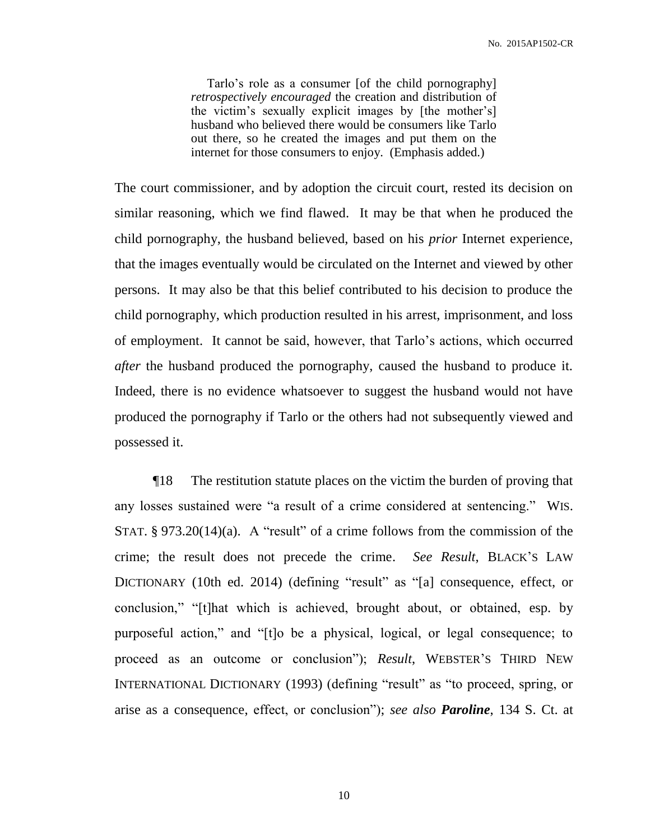Tarlo's role as a consumer [of the child pornography] *retrospectively encouraged* the creation and distribution of the victim's sexually explicit images by [the mother's] husband who believed there would be consumers like Tarlo out there, so he created the images and put them on the internet for those consumers to enjoy. (Emphasis added.)

The court commissioner, and by adoption the circuit court, rested its decision on similar reasoning, which we find flawed. It may be that when he produced the child pornography, the husband believed, based on his *prior* Internet experience, that the images eventually would be circulated on the Internet and viewed by other persons. It may also be that this belief contributed to his decision to produce the child pornography, which production resulted in his arrest, imprisonment, and loss of employment. It cannot be said, however, that Tarlo's actions, which occurred *after* the husband produced the pornography, caused the husband to produce it. Indeed, there is no evidence whatsoever to suggest the husband would not have produced the pornography if Tarlo or the others had not subsequently viewed and possessed it.

¶18 The restitution statute places on the victim the burden of proving that any losses sustained were "a result of a crime considered at sentencing." WIS. STAT.  $\S 973.20(14)(a)$ . A "result" of a crime follows from the commission of the crime; the result does not precede the crime. *See Result*, BLACK'S LAW DICTIONARY (10th ed. 2014) (defining "result" as "[a] consequence, effect, or conclusion," "[t]hat which is achieved, brought about, or obtained, esp. by purposeful action," and "[t]o be a physical, logical, or legal consequence; to proceed as an outcome or conclusion"); *Result*, WEBSTER'S THIRD NEW INTERNATIONAL DICTIONARY (1993) (defining "result" as "to proceed, spring, or arise as a consequence, effect, or conclusion"); *see also Paroline*, 134 S. Ct. at